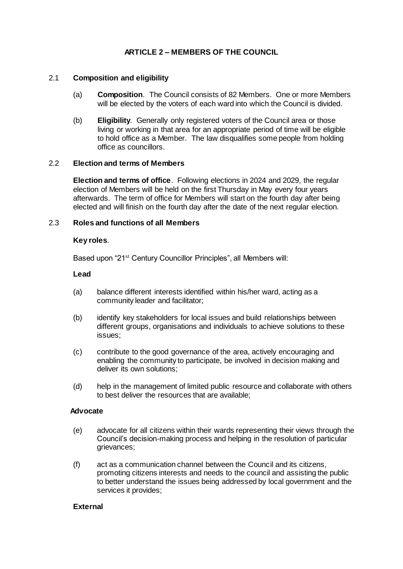# **ARTICLE 2 – MEMBERS OF THE COUNCIL**

# 2.1 **Composition and eligibility**

- (a) **Composition**. The Council consists of 82 Members. One or more Members will be elected by the voters of each ward into which the Council is divided.
- (b) **Eligibility**. Generally only registered voters of the Council area or those living or working in that area for an appropriate period of time will be eligible to hold office as a Member. The law disqualifies some people from holding office as councillors.

## 2.2 **Election and terms of Members**

**Election and terms of office**. Following elections in 2024 and 2029, the regular election of Members will be held on the first Thursday in May every four years afterwards. The term of office for Members will start on the fourth day after being elected and will finish on the fourth day after the date of the next regular election.

# 2.3 **Roles and functions of all Members**

# **Key roles**.

Based upon "21st Century Councillor Principles", all Members will:

# **Lead**

- (a) balance different interests identified within his/her ward, acting as a community leader and facilitator;
- (b) identify key stakeholders for local issues and build relationships between different groups, organisations and individuals to achieve solutions to these issues;
- (c) contribute to the good governance of the area, actively encouraging and enabling the community to participate, be involved in decision making and deliver its own solutions;
- (d) help in the management of limited public resource and collaborate with others to best deliver the resources that are available;

#### **Advocate**

- (e) advocate for all citizens within their wards representing their views through the Council's decision-making process and helping in the resolution of particular grievances;
- (f) act as a communication channel between the Council and its citizens, promoting citizens interests and needs to the council and assisting the public to better understand the issues being addressed by local government and the services it provides;

# **External**